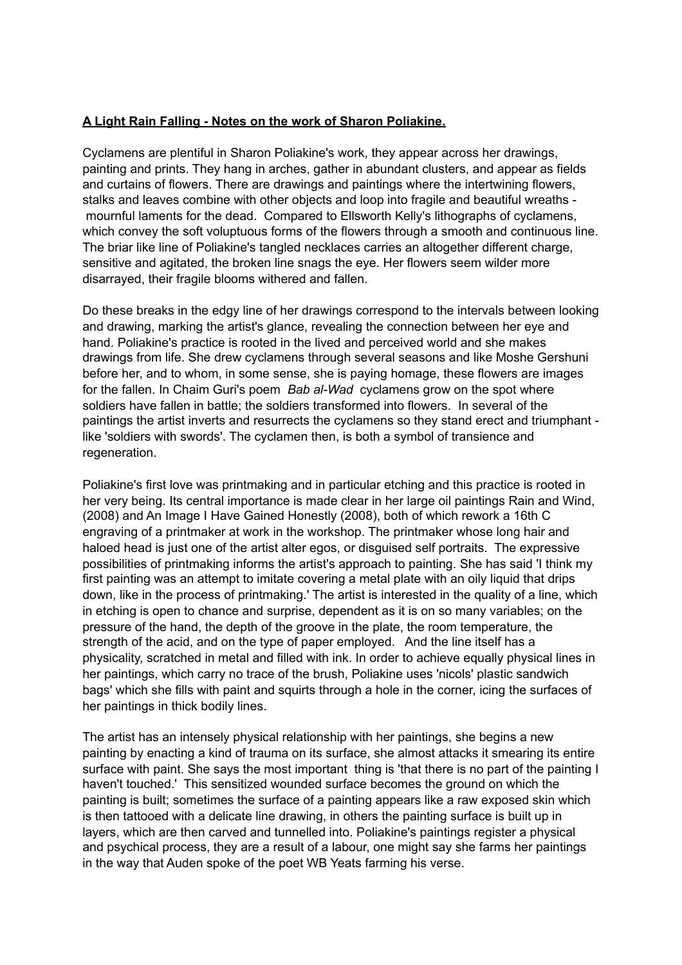## **A Light Rain Falling - Notes on the work of Sharon Poliakine.**

Cyclamens are plentiful in Sharon Poliakine's work, they appear across her drawings, painting and prints. They hang in arches, gather in abundant clusters, and appear as fields and curtains of flowers. There are drawings and paintings where the intertwining flowers, stalks and leaves combine with other objects and loop into fragile and beautiful wreaths mournful laments for the dead. Compared to Ellsworth Kelly's lithographs of cyclamens, which convey the soft voluptuous forms of the flowers through a smooth and continuous line. The briar like line of Poliakine's tangled necklaces carries an altogether different charge, sensitive and agitated, the broken line snags the eye. Her flowers seem wilder more disarrayed, their fragile blooms withered and fallen.

Do these breaks in the edgy line of her drawings correspond to the intervals between looking and drawing, marking the artist's glance, revealing the connection between her eye and hand. Poliakine's practice is rooted in the lived and perceived world and she makes drawings from life. She drew cyclamens through several seasons and like Moshe Gershuni before her, and to whom, in some sense, she is paying homage, these flowers are images for the fallen. In Chaim Guri's poem *Bab al-Wad* cyclamens grow on the spot where soldiers have fallen in battle; the soldiers transformed into flowers. In several of the paintings the artist inverts and resurrects the cyclamens so they stand erect and triumphant like 'soldiers with swords'. The cyclamen then, is both a symbol of transience and regeneration.

Poliakine's first love was printmaking and in particular etching and this practice is rooted in her very being. Its central importance is made clear in her large oil paintings Rain and Wind, (2008) and An Image I Have Gained Honestly (2008), both of which rework a 16th C engraving of a printmaker at work in the workshop. The printmaker whose long hair and haloed head is just one of the artist alter egos, or disguised self portraits. The expressive possibilities of printmaking informs the artist's approach to painting. She has said 'I think my first painting was an attempt to imitate covering a metal plate with an oily liquid that drips down, like in the process of printmaking.' The artist is interested in the quality of a line, which in etching is open to chance and surprise, dependent as it is on so many variables; on the pressure of the hand, the depth of the groove in the plate, the room temperature, the strength of the acid, and on the type of paper employed. And the line itself has a physicality, scratched in metal and filled with ink. In order to achieve equally physical lines in her paintings, which carry no trace of the brush, Poliakine uses 'nicols' plastic sandwich bags' which she fills with paint and squirts through a hole in the corner, icing the surfaces of her paintings in thick bodily lines.

The artist has an intensely physical relationship with her paintings, she begins a new painting by enacting a kind of trauma on its surface, she almost attacks it smearing its entire surface with paint. She says the most important thing is 'that there is no part of the painting I haven't touched.' This sensitized wounded surface becomes the ground on which the painting is built; sometimes the surface of a painting appears like a raw exposed skin which is then tattooed with a delicate line drawing, in others the painting surface is built up in layers, which are then carved and tunnelled into. Poliakine's paintings register a physical and psychical process, they are a result of a labour, one might say she farms her paintings in the way that Auden spoke of the poet WB Yeats farming his verse.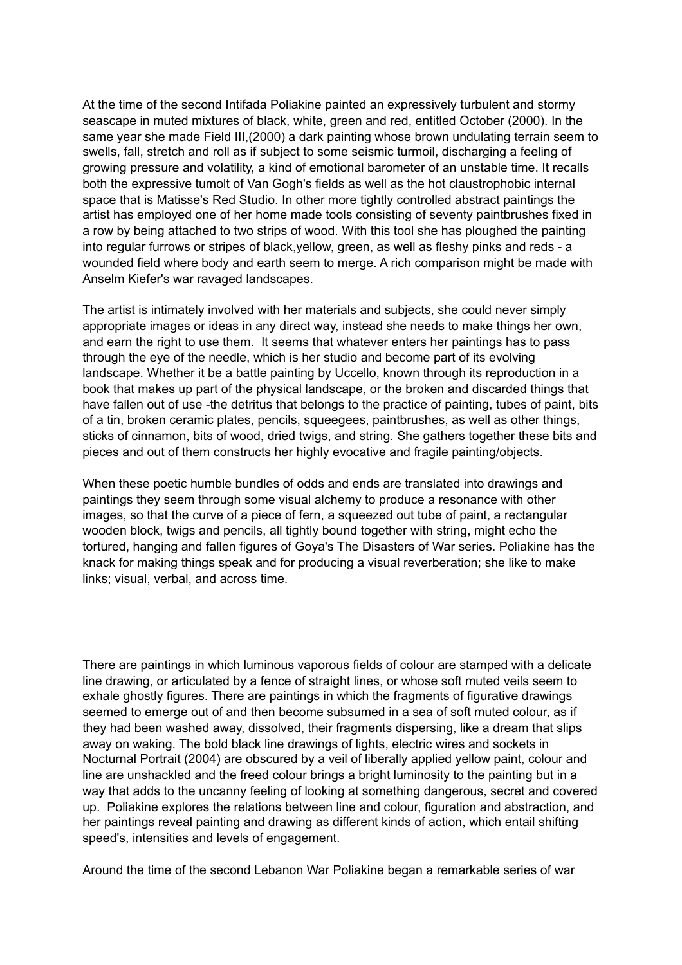At the time of the second Intifada Poliakine painted an expressively turbulent and stormy seascape in muted mixtures of black, white, green and red, entitled October (2000). In the same year she made Field III,(2000) a dark painting whose brown undulating terrain seem to swells, fall, stretch and roll as if subject to some seismic turmoil, discharging a feeling of growing pressure and volatility, a kind of emotional barometer of an unstable time. It recalls both the expressive tumolt of Van Gogh's fields as well as the hot claustrophobic internal space that is Matisse's Red Studio. In other more tightly controlled abstract paintings the artist has employed one of her home made tools consisting of seventy paintbrushes fixed in a row by being attached to two strips of wood. With this tool she has ploughed the painting into regular furrows or stripes of black,yellow, green, as well as fleshy pinks and reds - a wounded field where body and earth seem to merge. A rich comparison might be made with Anselm Kiefer's war ravaged landscapes.

The artist is intimately involved with her materials and subjects, she could never simply appropriate images or ideas in any direct way, instead she needs to make things her own, and earn the right to use them. It seems that whatever enters her paintings has to pass through the eye of the needle, which is her studio and become part of its evolving landscape. Whether it be a battle painting by Uccello, known through its reproduction in a book that makes up part of the physical landscape, or the broken and discarded things that have fallen out of use -the detritus that belongs to the practice of painting, tubes of paint, bits of a tin, broken ceramic plates, pencils, squeegees, paintbrushes, as well as other things, sticks of cinnamon, bits of wood, dried twigs, and string. She gathers together these bits and pieces and out of them constructs her highly evocative and fragile painting/objects.

When these poetic humble bundles of odds and ends are translated into drawings and paintings they seem through some visual alchemy to produce a resonance with other images, so that the curve of a piece of fern, a squeezed out tube of paint, a rectangular wooden block, twigs and pencils, all tightly bound together with string, might echo the tortured, hanging and fallen figures of Goya's The Disasters of War series. Poliakine has the knack for making things speak and for producing a visual reverberation; she like to make links; visual, verbal, and across time.

There are paintings in which luminous vaporous fields of colour are stamped with a delicate line drawing, or articulated by a fence of straight lines, or whose soft muted veils seem to exhale ghostly figures. There are paintings in which the fragments of figurative drawings seemed to emerge out of and then become subsumed in a sea of soft muted colour, as if they had been washed away, dissolved, their fragments dispersing, like a dream that slips away on waking. The bold black line drawings of lights, electric wires and sockets in Nocturnal Portrait (2004) are obscured by a veil of liberally applied yellow paint, colour and line are unshackled and the freed colour brings a bright luminosity to the painting but in a way that adds to the uncanny feeling of looking at something dangerous, secret and covered up. Poliakine explores the relations between line and colour, figuration and abstraction, and her paintings reveal painting and drawing as different kinds of action, which entail shifting speed's, intensities and levels of engagement.

Around the time of the second Lebanon War Poliakine began a remarkable series of war